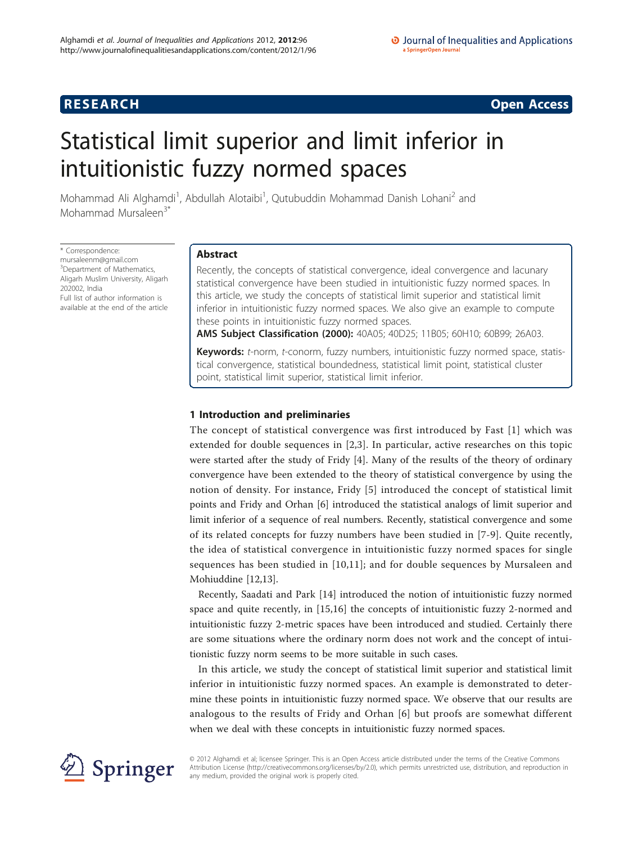## **RESEARCH CONSTRUCTION CONSTRUCTS**

# Statistical limit superior and limit inferior in intuitionistic fuzzy normed spaces

Mohammad Ali Alghamdi<sup>1</sup>, Abdullah Alotaibi<sup>1</sup>, Qutubuddin Mohammad Danish Lohani<sup>2</sup> and Mohammad Mursaleen<sup>3\*</sup>

\* Correspondence: [mursaleenm@gmail.com](mailto:mursaleenm@gmail.com) <sup>3</sup>Department of Mathematics, Aligarh Muslim University, Aligarh 202002, India Full list of author information is available at the end of the article

## Abstract

Recently, the concepts of statistical convergence, ideal convergence and lacunary statistical convergence have been studied in intuitionistic fuzzy normed spaces. In this article, we study the concepts of statistical limit superior and statistical limit inferior in intuitionistic fuzzy normed spaces. We also give an example to compute these points in intuitionistic fuzzy normed spaces.

AMS Subject Classification (2000): 40A05; 40D25; 11B05; 60H10; 60B99; 26A03.

Keywords: t-norm, t-conorm, fuzzy numbers, intuitionistic fuzzy normed space, statistical convergence, statistical boundedness, statistical limit point, statistical cluster point, statistical limit superior, statistical limit inferior.

## 1 Introduction and preliminaries

The concept of statistical convergence was first introduced by Fast [[1](#page-10-0)] which was extended for double sequences in [[2,3](#page-10-0)]. In particular, active researches on this topic were started after the study of Fridy [\[4\]](#page-10-0). Many of the results of the theory of ordinary convergence have been extended to the theory of statistical convergence by using the notion of density. For instance, Fridy [[5\]](#page-10-0) introduced the concept of statistical limit points and Fridy and Orhan [\[6](#page-11-0)] introduced the statistical analogs of limit superior and limit inferior of a sequence of real numbers. Recently, statistical convergence and some of its related concepts for fuzzy numbers have been studied in [[7-9\]](#page-11-0). Quite recently, the idea of statistical convergence in intuitionistic fuzzy normed spaces for single sequences has been studied in [[10,11\]](#page-11-0); and for double sequences by Mursaleen and Mohiuddine [[12,13\]](#page-11-0).

Recently, Saadati and Park [[14](#page-11-0)] introduced the notion of intuitionistic fuzzy normed space and quite recently, in [\[15,16](#page-11-0)] the concepts of intuitionistic fuzzy 2-normed and intuitionistic fuzzy 2-metric spaces have been introduced and studied. Certainly there are some situations where the ordinary norm does not work and the concept of intuitionistic fuzzy norm seems to be more suitable in such cases.

In this article, we study the concept of statistical limit superior and statistical limit inferior in intuitionistic fuzzy normed spaces. An example is demonstrated to determine these points in intuitionistic fuzzy normed space. We observe that our results are analogous to the results of Fridy and Orhan [[6](#page-11-0)] but proofs are somewhat different when we deal with these concepts in intuitionistic fuzzy normed spaces.



© 2012 Alghamdi et al; licensee Springer. This is an Open Access article distributed under the terms of the Creative Commons Attribution License [\(http://creativecommons.org/licenses/by/2.0](http://creativecommons.org/licenses/by/2.0)), which permits unrestricted use, distribution, and reproduction in any medium, provided the original work is properly cited.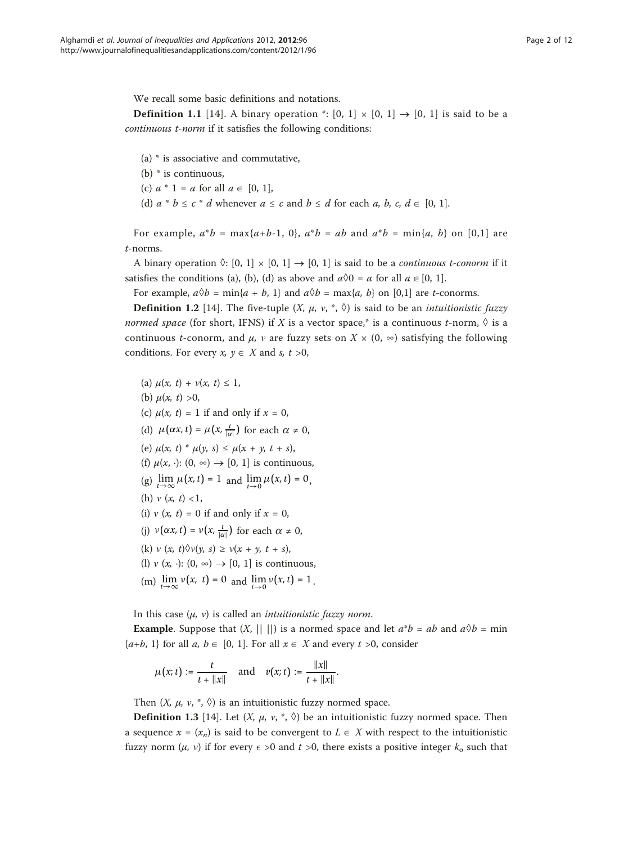We recall some basic definitions and notations.

**Definition 1.1** [[14](#page-11-0)]. A binary operation  $\cdot$ : [0, 1]  $\times$  [0, 1]  $\rightarrow$  [0, 1] is said to be a continuous t-norm if it satisfies the following conditions:

- (a) \* is associative and commutative,
- (b) \* is continuous,
- (c)  $a * 1 = a$  for all  $a \in [0, 1]$ ,
- (d)  $a * b \leq c * d$  whenever  $a \leq c$  and  $b \leq d$  for each  $a, b, c, d \in [0, 1]$ .

For example,  $a^*b = \max\{a+b-1, 0\}$ ,  $a^*b = ab$  and  $a^*b = \min\{a, b\}$  on [0,1] are t-norms.

A binary operation  $\Diamond: [0, 1] \times [0, 1] \rightarrow [0, 1]$  is said to be a *continuous t-conorm* if it satisfies the conditions (a), (b), (d) as above and  $a\&0 = a$  for all  $a \in [0, 1]$ .

For example,  $a\Diamond b = \min\{a + b, 1\}$  and  $a\Diamond b = \max\{a, b\}$  on [0,1] are *t*-conorms.

**Definition 1.2** [[14](#page-11-0)]. The five-tuple  $(X, \mu, \nu, *, \lozenge)$  is said to be an *intuitionistic fuzzy* normed space (for short, IFNS) if X is a vector space,\* is a continuous t-norm,  $\Diamond$  is a continuous *t*-conorm, and  $\mu$ , *v* are fuzzy sets on  $X \times (0, \infty)$  satisfying the following conditions. For every  $x, y \in X$  and s,  $t > 0$ ,

(a)  $\mu(x, t) + \nu(x, t) \leq 1$ , (b)  $\mu(x, t) > 0$ , (c)  $\mu(x, t) = 1$  if and only if  $x = 0$ , (d)  $\mu(\alpha x, t) = \mu(x, \frac{t}{|\alpha|})$  for each  $\alpha \neq 0$ , (e)  $\mu(x, t) * \mu(y, s) \leq \mu(x + y, t + s)$ , (f)  $\mu(x, \cdot)$ :  $(0, \infty) \rightarrow [0, 1]$  is continuous, (g)  $\lim_{t \to \infty} \mu(x, t) = 1$  and  $\lim_{t \to 0} \mu(x, t) = 0$ , (h)  $v(x, t) < 1$ , (i)  $v(x, t) = 0$  if and only if  $x = 0$ , (j)  $v(\alpha x, t) = v(x, \frac{t}{|\alpha|})$  for each  $\alpha \neq 0$ , (k)  $v(x, t) \Diamond v(y, s) \ge v(x + y, t + s)$ , (l)  $v(x, \cdot): (0, \infty) \rightarrow [0, 1]$  is continuous, (m)  $\lim_{t \to \infty} v(x, t) = 0$  and  $\lim_{t \to 0} v(x, t) = 1$ .

In this case  $(\mu, \nu)$  is called an *intuitionistic fuzzy norm*.

**Example.** Suppose that  $(X, || ||)$  is a normed space and let  $a^*b = ab$  and  $a\&b = \min$  $\{a+b, 1\}$  for all  $a, b \in [0, 1]$ . For all  $x \in X$  and every  $t > 0$ , consider

$$
\mu(x;t) := \frac{t}{t + \|x\|} \quad \text{and} \quad v(x;t) := \frac{\|x\|}{t + \|x\|}.
$$

Then  $(X, \mu, \nu, \ast, \Diamond)$  is an intuitionistic fuzzy normed space.

**Definition 1.3** [\[14](#page-11-0)]. Let  $(X, \mu, \nu, *, \lozenge)$  be an intuitionistic fuzzy normed space. Then a sequence  $x = (x_n)$  is said to be convergent to  $L \in X$  with respect to the intuitionistic fuzzy norm  $(\mu, \nu)$  if for every  $\epsilon > 0$  and  $t > 0$ , there exists a positive integer  $k_0$  such that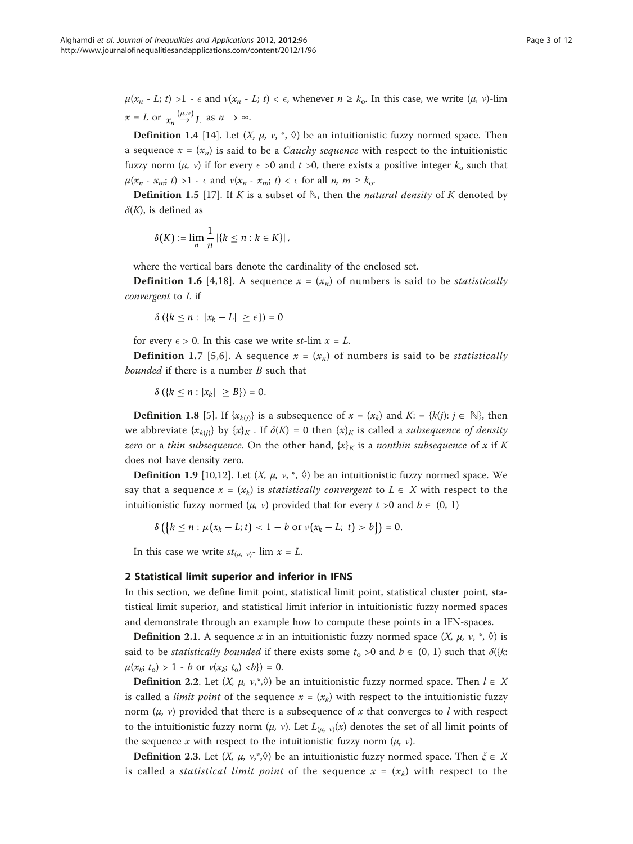$\mu(x_n - L; t) >1 - \epsilon$  and  $\nu(x_n - L; t) < \epsilon$ , whenever  $n \geq k_0$ . In this case, we write  $(\mu, \nu)$ -lim  $x = L$  or  $x_n \stackrel{(\mu,\nu)}{\rightarrow} L$  as  $n \rightarrow \infty$ .

**Definition 1.4** [\[14](#page-11-0)]. Let  $(X, \mu, \nu, \dot{\nu}, \dot{\nu})$  be an intuitionistic fuzzy normed space. Then a sequence  $x = (x_n)$  is said to be a *Cauchy sequence* with respect to the intuitionistic fuzzy norm  $(\mu, \nu)$  if for every  $\epsilon > 0$  and  $t > 0$ , there exists a positive integer  $k_0$  such that  $\mu(x_n - x_m; t) >1 - \epsilon$  and  $\nu(x_n - x_m; t) < \epsilon$  for all  $n, m \geq k_0$ .

**Definition 1.5** [[17](#page-11-0)]. If K is a subset of  $\mathbb{N}$ , then the *natural density* of K denoted by  $\delta(K)$ , is defined as

$$
\delta(K) := \lim_{n} \frac{1}{n} |\{k \leq n : k \in K\}|,
$$

where the vertical bars denote the cardinality of the enclosed set.

**Definition 1.6** [\[4,](#page-10-0)[18](#page-11-0)]. A sequence  $x = (x_n)$  of numbers is said to be *statistically* convergent to L if

$$
\delta\left(\left\{k\leq n:\ |x_k-L|\ \geq \epsilon\right\}\right)=0
$$

for every  $\epsilon > 0$ . In this case we write st-lim  $x = L$ .

**Definition 1.7** [\[5,](#page-10-0)[6\]](#page-11-0). A sequence  $x = (x_n)$  of numbers is said to be *statistically* bounded if there is a number B such that

$$
\delta\left(\left\{k\leq n : |x_k| \geq B\right\}\right) = 0.
$$

**Definition 1.8** [\[5](#page-10-0)]. If { $x_{k(i)}$ } is a subsequence of  $x = (x_k)$  and  $K: = \{k(j): j \in \mathbb{N}\}$ , then we abbreviate  $\{x_{k(i)}\}$  by  $\{x\}_K$ . If  $\delta(K) = 0$  then  $\{x\}_K$  is called a *subsequence of density* zero or a thin subsequence. On the other hand,  $\{x\}_K$  is a nonthin subsequence of x if K does not have density zero.

**Definition 1.9** [[10](#page-11-0),[12](#page-11-0)]. Let  $(X, \mu, \nu, \nu, \nu)$  be an intuitionistic fuzzy normed space. We say that a sequence  $x = (x_k)$  is *statistically convergent* to  $L \in X$  with respect to the intuitionistic fuzzy normed  $(\mu, \nu)$  provided that for every  $t > 0$  and  $b \in (0, 1)$ 

$$
\delta\left(\left\{k\leq n:\mu(x_k-L;t) < 1-b \text{ or } \nu(x_k-L;\;t) > b\right\}\right) = 0.
$$

In this case we write  $st_{(\mu, \nu)}$ - lim  $x = L$ .

### 2 Statistical limit superior and inferior in IFNS

In this section, we define limit point, statistical limit point, statistical cluster point, statistical limit superior, and statistical limit inferior in intuitionistic fuzzy normed spaces and demonstrate through an example how to compute these points in a IFN-spaces.

**Definition 2.1.** A sequence x in an intuitionistic fuzzy normed space  $(X, \mu, \nu, \dot{\nu})$  is said to be *statistically bounded* if there exists some  $t_0 > 0$  and  $b \in (0, 1)$  such that  $\delta({k:})$  $\mu(x_k; t_0) > 1 - b$  or  $\nu(x_k; t_0) < b) = 0$ .

**Definition 2.2.** Let  $(X, \mu, \nu, \nu, \hat{\nu})$  be an intuitionistic fuzzy normed space. Then  $l \in X$ is called a *limit point* of the sequence  $x = (x_k)$  with respect to the intuitionistic fuzzy norm  $(\mu, \nu)$  provided that there is a subsequence of x that converges to l with respect to the intuitionistic fuzzy norm  $(\mu, v)$ . Let  $L_{(\mu, v)}(x)$  denotes the set of all limit points of the sequence x with respect to the intuitionistic fuzzy norm  $(\mu, \nu)$ .

**Definition 2.3.** Let  $(X, \mu, \nu, \phi)$  be an intuitionistic fuzzy normed space. Then  $\xi \in X$ is called a *statistical limit point* of the sequence  $x = (x_k)$  with respect to the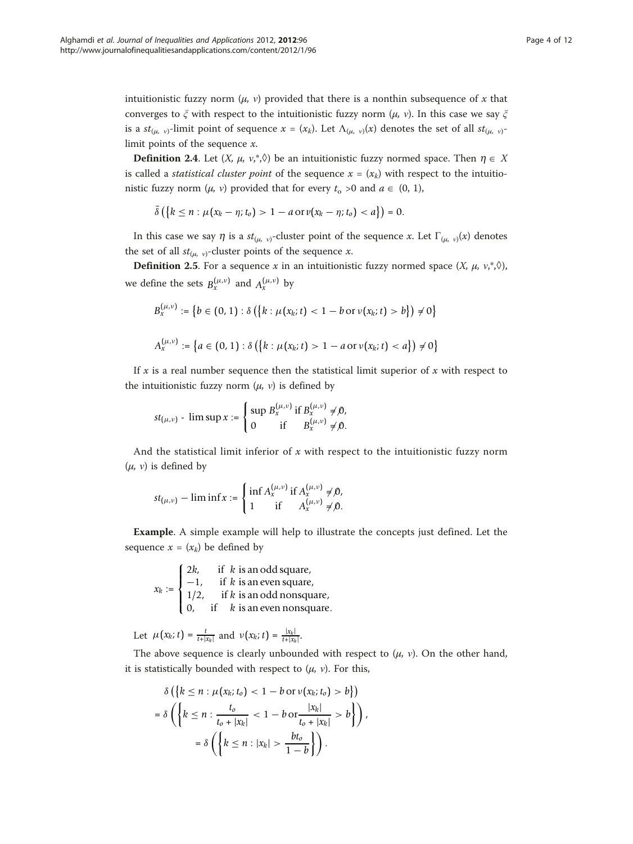intuitionistic fuzzy norm  $(\mu, \nu)$  provided that there is a nonthin subsequence of x that converges to  $\zeta$  with respect to the intuitionistic fuzzy norm  $(\mu, \nu)$ . In this case we say  $\zeta$ is a  $st_{(\mu, \nu)}$ -limit point of sequence  $x = (x_k)$ . Let  $\Lambda_{(\mu, \nu)}(x)$  denotes the set of all  $st_{(\mu, \nu)}$ limit points of the sequence  $x$ .

**Definition 2.4.** Let  $(X, \mu, \nu,^*)$  be an intuitionistic fuzzy normed space. Then  $\eta \in X$ is called a *statistical cluster point* of the sequence  $x = (x_k)$  with respect to the intuitionistic fuzzy norm  $(\mu, \nu)$  provided that for every  $t_0 > 0$  and  $a \in (0, 1)$ ,

$$
\bar{\delta}\left(\left\{k \leq n : \mu(x_k - \eta; t_o) > 1 - a \text{ or } v(x_k - \eta; t_o) < a\right\}\right) = 0.
$$

In this case we say  $\eta$  is a  $st_{(\mu, \nu)}$ -cluster point of the sequence x. Let  $\Gamma_{(\mu, \nu)}(x)$  denotes the set of all  $st_{(\mu,\nu)}$ -cluster points of the sequence x.

**Definition 2.5.** For a sequence x in an intuitionistic fuzzy normed space  $(X, \mu, \nu,^*)$ , we define the sets  $B_r^{(\mu,\nu)}$  and  $A_r^{(\mu,\nu)}$  by

$$
B_x^{(\mu,\nu)} := \{ b \in (0,1) : \delta \left( \{ k : \mu(x_k; t) < 1 - b \text{ or } \nu(x_k; t) > b \} \right) \neq 0 \}
$$
\n
$$
A_x^{(\mu,\nu)} := \{ a \in (0,1) : \delta \left( \{ k : \mu(x_k; t) > 1 - a \text{ or } \nu(x_k; t) < a \} \right) \neq 0 \}
$$

If x is a real number sequence then the statistical limit superior of x with respect to the intuitionistic fuzzy norm  $(\mu, \nu)$  is defined by

$$
st_{(\mu,\nu)} - \limsup x := \begin{cases} \sup B_x^{(\mu,\nu)} & \text{if } B_x^{(\mu,\nu)} \neq 0, \\ 0 & \text{if } B_x^{(\mu,\nu)} \neq 0. \end{cases}
$$

And the statistical limit inferior of  $x$  with respect to the intuitionistic fuzzy norm  $(\mu, \nu)$  is defined by

$$
st_{(\mu,\nu)} - \liminf x := \begin{cases} \inf A_x^{(\mu,\nu)} & \text{if } A_x^{(\mu,\nu)} \neq 0, \\ 1 & \text{if } A_x^{(\mu,\nu)} \neq 0. \end{cases}
$$

Example. A simple example will help to illustrate the concepts just defined. Let the sequence  $x = (x_k)$  be defined by

 $x_k :=$  $\sqrt{ }$  $\int$  $\overline{\mathcal{L}}$ 2*k*, if *k* is an odd square, −1, if *k* is an even square, 1/2, if *k* is an odd nonsquare, 0, if *k* is an even nonsquare.

Let  $\mu(x_k; t) = \frac{t}{t + |x_k|}$  and  $\nu(x_k; t) = \frac{|x_k|}{t + |x_k|}$ .

The above sequence is clearly unbounded with respect to  $(\mu, \nu)$ . On the other hand, it is statistically bounded with respect to  $(\mu, \nu)$ . For this,

$$
\delta\left(\left\{k \leq n : \mu(x_k; t_o) < 1 - b \text{ or } v(x_k; t_o) > b\right\}\right)
$$
\n
$$
= \delta\left(\left\{k \leq n : \frac{t_o}{t_o + |x_k|} < 1 - b \text{ or } \frac{|x_k|}{t_o + |x_k|} > b\right\}\right),
$$
\n
$$
= \delta\left(\left\{k \leq n : |x_k| > \frac{bt_o}{1 - b}\right\}\right).
$$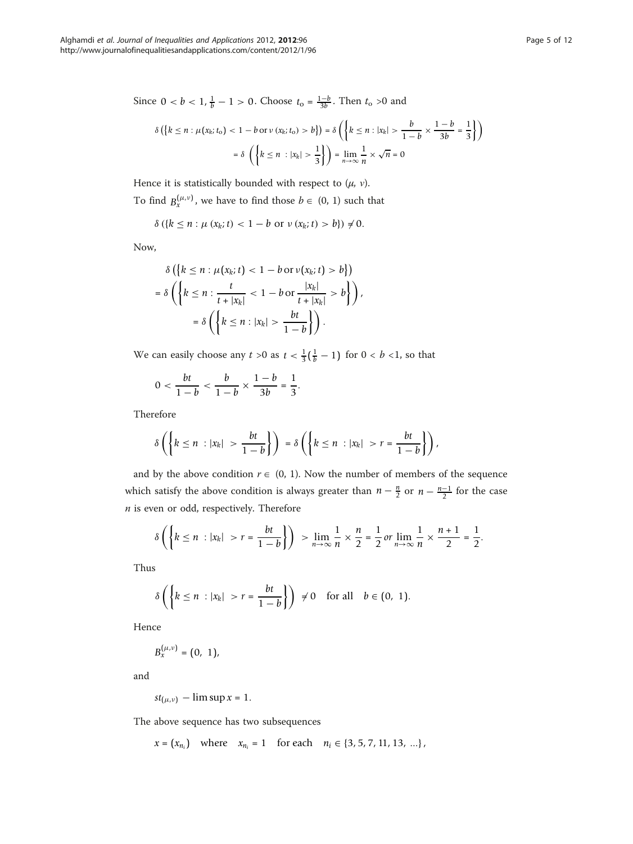Since  $0 < b < 1$ ,  $\frac{1}{b} - 1 > 0$ . Choose  $t_0 = \frac{1-b}{3b}$ . Then  $t_0 > 0$  and

$$
\delta\left(\left\{k \le n : \mu(x_k; t_0) < 1 - b \text{ or } v(x_k; t_0) > b\right\}\right) = \delta\left(\left\{k \le n : |x_k| > \frac{b}{1 - b} \times \frac{1 - b}{3b} = \frac{1}{3}\right\}\right)
$$
\n
$$
= \delta\left(\left\{k \le n : |x_k| > \frac{1}{3}\right\}\right) = \lim_{n \to \infty} \frac{1}{n} \times \sqrt{n} = 0
$$

Hence it is statistically bounded with respect to  $(\mu, \nu)$ .

To find  $B_{x}^{(\mu,\nu)}$ , we have to find those  $b \in (0, 1)$  such that

$$
\delta\left(\{k \le n : \mu\left(x_k; t\right) < 1 - b \text{ or } \nu\left(x_k; t\right) > b\}\right) \neq 0.
$$

Now,

$$
\delta\left(\left\{k \leq n : \mu(x_k; t) < 1 - b \text{ or } \nu(x_k; t) > b\right\}\right)
$$
\n
$$
= \delta\left(\left\{k \leq n : \frac{t}{t + |x_k|} < 1 - b \text{ or } \frac{|x_k|}{t + |x_k|} > b\right\}\right),
$$
\n
$$
= \delta\left(\left\{k \leq n : |x_k| > \frac{bt}{1 - b}\right\}\right).
$$

We can easily choose any  $t > 0$  as  $t < \frac{1}{3}(\frac{1}{b} - 1)$  for  $0 < b < 1$ , so that

$$
0 < \frac{bt}{1-b} < \frac{b}{1-b} \times \frac{1-b}{3b} = \frac{1}{3}.
$$

Therefore

$$
\delta\left(\left\{k\leq n \ : |x_k| > \frac{bt}{1-b}\right\}\right) = \delta\left(\left\{k\leq n \ : |x_k| > r = \frac{bt}{1-b}\right\}\right),
$$

and by the above condition  $r \in (0, 1)$ . Now the number of members of the sequence which satisfy the above condition is always greater than  $n - \frac{n}{2}$  or  $n - \frac{n-1}{2}$  for the case  $n$  is even or odd, respectively. Therefore

$$
\delta\left(\left\{k\leq n\;:\,|x_k|>r=\frac{bt}{1-b}\right\}\right)>\lim_{n\to\infty}\frac{1}{n}\times\frac{n}{2}=\frac{1}{2}\,or\lim_{n\to\infty}\frac{1}{n}\times\frac{n+1}{2}=\frac{1}{2}.
$$

Thus

$$
\delta\left(\left\{k\leq n\;:\,|x_k|>r=\frac{bt}{1-b}\right\}\right)\;\neq 0\quad\text{for all}\quad b\in(0,\;1).
$$

Hence

$$
B_x^{(\mu,\nu)}=(0, 1),
$$

and

$$
st_{(\mu,\nu)}-\limsup x=1.
$$

The above sequence has two subsequences

$$
x = (x_{n_i})
$$
 where  $x_{n_i} = 1$  for each  $n_i \in \{3, 5, 7, 11, 13, ...\}$ ,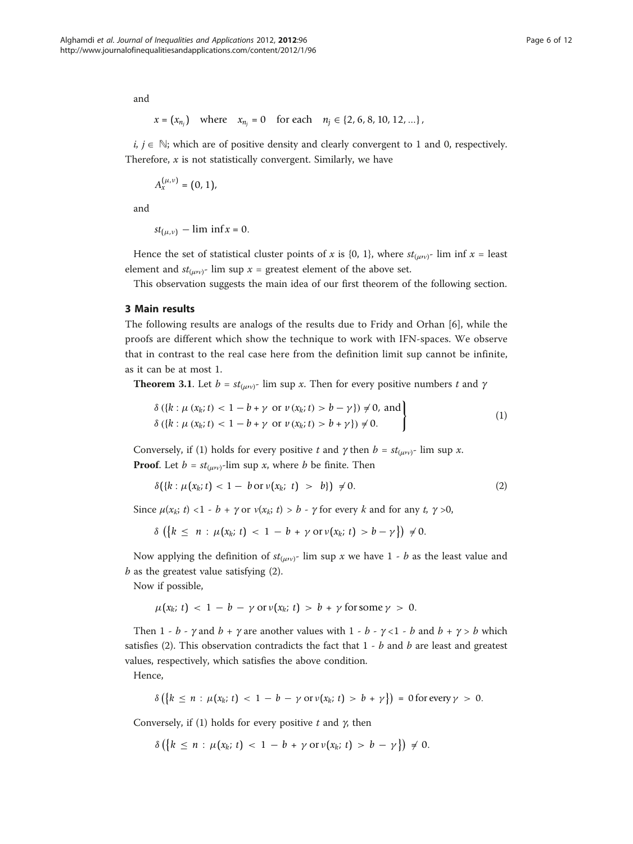and

$$
x = (x_{n_j})
$$
 where  $x_{n_j} = 0$  for each  $n_j \in \{2, 6, 8, 10, 12, ...\}$ ,

 $i, j \in \mathbb{N}$ ; which are of positive density and clearly convergent to 1 and 0, respectively. Therefore,  $x$  is not statistically convergent. Similarly, we have

$$
A_x^{(\mu,\nu)} = (0,1),
$$

and

$$
st_{(\mu,\nu)}-\liminf x=0.
$$

Hence the set of statistical cluster points of x is {0, 1}, where  $st_{(\mu\nu)}$ - lim inf x = least element and  $st_{(\mu\nu)}$ - lim sup  $x =$  greatest element of the above set.

This observation suggests the main idea of our first theorem of the following section.

#### 3 Main results

The following results are analogs of the results due to Fridy and Orhan [\[6](#page-11-0)], while the proofs are different which show the technique to work with IFN-spaces. We observe that in contrast to the real case here from the definition limit sup cannot be infinite, as it can be at most 1.

**Theorem 3.1.** Let  $b = st_{(uv)}$ - lim sup x. Then for every positive numbers t and  $\gamma$ 

$$
\delta\left(\left\{k:\mu\left(x_{k};t\right)<1-b+\gamma\right.\text{ or }\nu\left(x_{k};t\right)>b-\gamma\right\}\right)\neq0,\text{ and}\\\delta\left(\left\{k:\mu\left(x_{k};t\right)<1-b+\gamma\right.\text{ or }\nu\left(x_{k};t\right)>b+\gamma\right\}\right)\neq0.
$$
\n
$$
(1)
$$

Conversely, if (1) holds for every positive t and  $\gamma$  then  $b = st_{(\mu\nu)}$ - lim sup x. **Proof.** Let  $b = st_{(\mu\nu)}$ -lim sup x, where b be finite. Then

$$
\delta({k:\mu(x_k;t) < 1 - b \text{ or } \nu(x_k;t) > b}) \neq 0. \tag{2}
$$

Since  $\mu(x_k; t) < 1 - b + \gamma$  or  $\nu(x_k; t) > b - \gamma$  for every k and for any t,  $\gamma > 0$ ,

$$
\delta\left(\left\{k \leq n : \mu(x_k; t) < 1 - b + \gamma \text{ or } \nu(x_k; t) > b - \gamma\right\}\right) \neq 0.
$$

Now applying the definition of  $st_{(\mu\nu)}$ - lim sup x we have 1 - b as the least value and  $b$  as the greatest value satisfying  $(2)$ .

Now if possible,

$$
\mu(x_k; t) < 1 - b - \gamma \text{ or } \nu(x_k; t) > b + \gamma \text{ for some } \gamma > 0.
$$

Then 1 - b -  $\gamma$  and b +  $\gamma$  are another values with 1 - b -  $\gamma$  < 1 - b and b +  $\gamma$  > b which satisfies (2). This observation contradicts the fact that  $1 - b$  and  $b$  are least and greatest values, respectively, which satisfies the above condition.

Hence,

$$
\delta\left(\left\{k\leq n:\mu(x_k;\,t)\,<\,1\,-\,b\,-\,\gamma\text{ or }v(x_k;\,t)\,>\,b\,+\,\gamma\right\}\right)\,=\,0\text{ for every }\gamma\,>\,0.
$$

Conversely, if (1) holds for every positive  $t$  and  $\gamma$ , then

$$
\delta\left(\left\{k \leq n : \mu(x_k; t) < 1 - b + \gamma \text{ or } \nu(x_k; t) > b - \gamma\right\}\right) \neq 0.
$$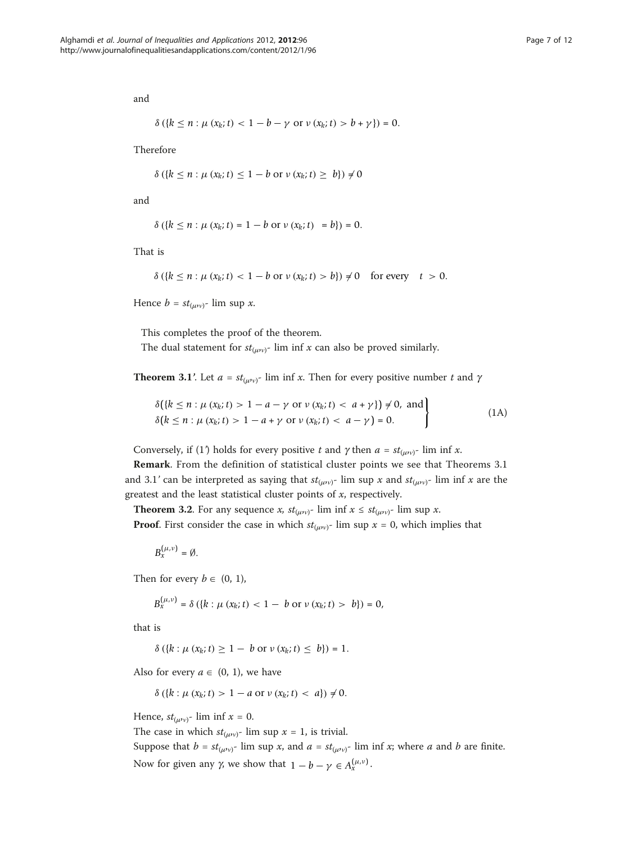and

$$
\delta\left(\{k \leq n : \mu\left(x_k; t\right) < 1 - b - \gamma \text{ or } \nu\left(x_k; t\right) > b + \gamma\}\right) = 0.
$$

Therefore

$$
\delta\left(\left\{k\leq n:\mu\left(x_{k};t\right)\leq 1-b\text{ or }\nu\left(x_{k};t\right)\geq b\right\}\right)\neq 0
$$

and

$$
\delta\left(\{k \leq n : \mu\left(x_k; t\right) = 1 - b \text{ or } v\left(x_k; t\right) = b\}\right) = 0.
$$

That is

$$
\delta\left(\left\{k\leq n:\mu\left(x_{k};t\right)<1-b\text{ or }\nu\left(x_{k};t\right)>b\right\}\right)\neq 0\quad\text{for every}\quad t>0.
$$

Hence  $b = st_{(\mu\nu)}$ - lim sup x.

This completes the proof of the theorem.

The dual statement for  $st_{(\mu\nu)}$ - lim inf x can also be proved similarly.

**Theorem 3.1'.** Let  $a = st_{(uv)}$ - lim inf x. Then for every positive number t and  $\gamma$ 

$$
\delta({k \le n : \mu (x_k; t) > 1 - a - \gamma \text{ or } \nu (x_k; t) < a + \gamma}) \ne 0, \text{ and}
$$
\n
$$
\delta(k \le n : \mu (x_k; t) > 1 - a + \gamma \text{ or } \nu (x_k; t) < a - \gamma) = 0.
$$
\n(1A)

Conversely, if (1) holds for every positive t and  $\gamma$  then  $a = st_{(\mu\nu)}$ - lim inf x.

Remark. From the definition of statistical cluster points we see that Theorems 3.1 and 3.1' can be interpreted as saying that  $st_{(uv)^{-}}$  lim sup x and  $st_{(uv)^{-}}$  lim inf x are the greatest and the least statistical cluster points of  $x$ , respectively.

**Theorem 3.2.** For any sequence x,  $st_{(\mu\nu)}$ - lim inf  $x \leq st_{(\mu\nu)}$ - lim sup x.

**Proof.** First consider the case in which  $st_{(\mu\nu)}$ - lim sup  $x = 0$ , which implies that

 $B_r^{(\mu,\nu)} = \emptyset$ .

Then for every  $b \in (0, 1)$ ,

$$
B_x^{(\mu,\nu)} = \delta (\{k : \mu(x_k; t) < 1 - b \text{ or } \nu(x_k; t) > b\}) = 0,
$$

that is

$$
\delta (\{k : \mu (x_k; t) \ge 1 - b \text{ or } v (x_k; t) \le b\}) = 1.
$$

Also for every  $a \in (0, 1)$ , we have

 $\delta (\{k : \mu (x_k; t) > 1 - a \text{ or } \nu (x_k; t) < a\}) \neq 0.$ 

Hence,  $st_{(\mu\nu)}$ - lim inf  $x = 0$ .

The case in which  $st_{(\mu\nu)}$ - lim sup  $x = 1$ , is trivial.

Suppose that  $b = st_{(\mu\nu)}$ - lim sup x, and  $a = st_{(\mu\nu)}$ - lim inf x; where a and b are finite. Now for given any *γ*, we show that  $1 - b - γ ∈ A<sub>x</sub><sup>(μ,ν)</sup>$ .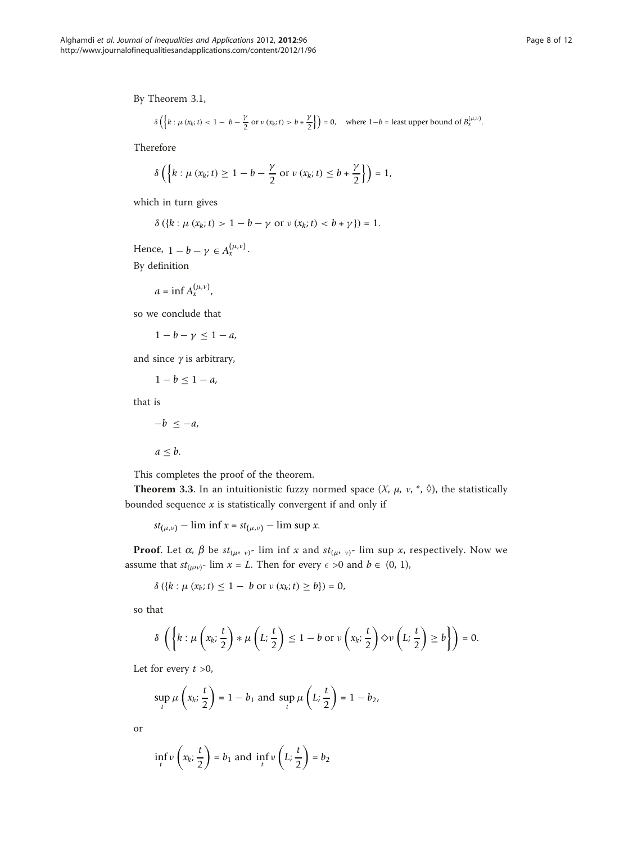By Theorem 3.1,

$$
\delta\left(\left\{k:\mu\left(x_{k};t\right)<1-b-\frac{\gamma}{2} \text{ or } v\left(x_{k};t\right)>b+\frac{\gamma}{2}\right\}\right)=0, \quad \text{where } 1-b=\text{least upper bound of } B_{x}^{\left(\mu,\nu\right)}.
$$

Therefore

$$
\delta\left(\left\{k:\mu\left(x_{k};t\right)\geq1-b-\frac{\gamma}{2} \text{ or } v\left(x_{k};t\right)\leq b+\frac{\gamma}{2}\right\}\right)=1,
$$

which in turn gives

$$
\delta\left(\{k:\mu\left(x_{k};t\right)>1-b-\gamma\text{ or }\nu\left(x_{k};t\right)
$$

Hence,  $1 - b - \gamma \in A_x^{(\mu,\nu)}$ . By definition

$$
a=\inf A_x^{(\mu,\nu)},
$$

so we conclude that

$$
1-b-\gamma\leq 1-a,
$$

and since  $\gamma$  is arbitrary,

$$
1-b\leq 1-a,
$$

that is

$$
-b \leq -a,
$$

 $a \leq b$ .

This completes the proof of the theorem.

**Theorem 3.3.** In an intuitionistic fuzzy normed space  $(X, \mu, \nu, *, \Diamond)$ , the statistically bounded sequence  $x$  is statistically convergent if and only if

*st*<sub>(μ,ν)</sub> – lim inf *x* = *st*<sub>(μ,ν)</sub> – lim sup *x*.

**Proof.** Let  $\alpha$ ,  $\beta$  be  $st_{(\mu, \nu)}$ - lim inf x and  $st_{(\mu, \nu)}$ - lim sup x, respectively. Now we assume that  $st_{(\mu\nu)}$ - lim  $x = L$ . Then for every  $\epsilon > 0$  and  $b \in (0, 1)$ ,

$$
\delta\left(\{k : \mu\left(x_k; t\right) \leq 1 - b \text{ or } v\left(x_k; t\right) \geq b\}\right) = 0,
$$

so that

$$
\delta\left(\left\{k:\mu\left(x_k;\frac{t}{2}\right)*\mu\left(L;\frac{t}{2}\right)\leq 1-b \text{ or } \nu\left(x_k;\frac{t}{2}\right)\diamondsuit \nu\left(L;\frac{t}{2}\right)\geq b\right\}\right)=0.
$$

Let for every  $t > 0$ ,

$$
\sup_{t} \mu\left(x_k; \frac{t}{2}\right) = 1 - b_1 \text{ and } \sup_{t} \mu\left(L; \frac{t}{2}\right) = 1 - b_2,
$$

or

$$
\inf_t v\left(x_k;\frac{t}{2}\right) = b_1 \text{ and } \inf_t v\left(L;\frac{t}{2}\right) = b_2
$$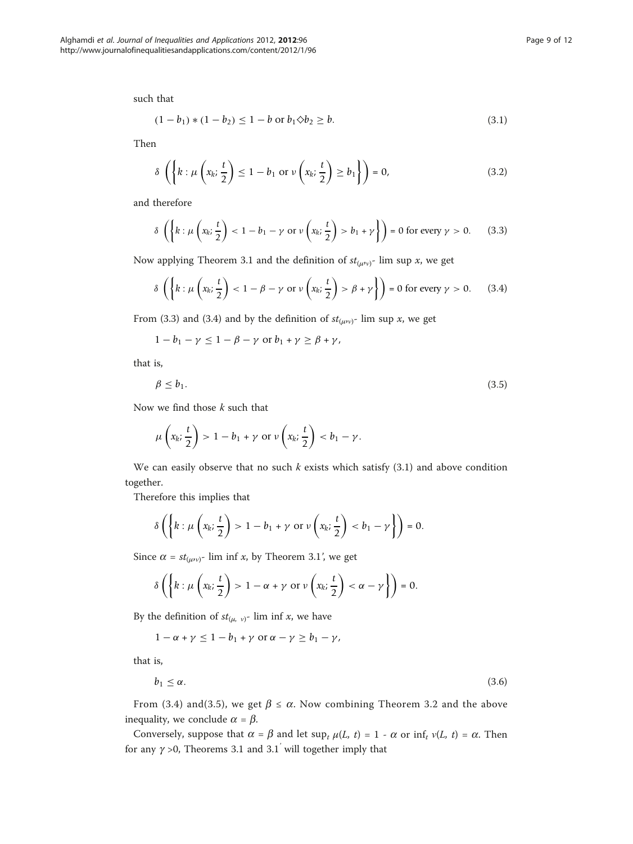such that

$$
(1 - b_1) * (1 - b_2) \le 1 - b \text{ or } b_1 \diamond b_2 \ge b. \tag{3.1}
$$

Then

$$
\delta\left(\left\{k:\mu\left(x_k;\frac{t}{2}\right)\leq 1-b_1 \text{ or } \nu\left(x_k;\frac{t}{2}\right)\geq b_1\right\}\right)=0,
$$
\n(3.2)

and therefore

$$
\delta\left(\left\{k:\mu\left(x_k;\frac{t}{2}\right)<1-b_1-\gamma\text{ or }\nu\left(x_k;\frac{t}{2}\right)>b_1+\gamma\right\}\right)=0\text{ for every }\gamma>0.\qquad(3.3)
$$

Now applying Theorem 3.1 and the definition of  $st_{(\mu\nu)}$ - lim sup x, we get

$$
\delta\left(\left\{k:\mu\left(x_k;\frac{t}{2}\right)<1-\beta-\gamma\text{ or }\nu\left(x_k;\frac{t}{2}\right)>\beta+\gamma\right\}\right)=0\text{ for every }\gamma>0.\qquad(3.4)
$$

From (3.3) and (3.4) and by the definition of  $st_{(\mu\nu)}$ - lim sup x, we get

$$
1-b_1-\gamma\leq 1-\beta-\gamma\,\,\text{or}\,\,b_1+\gamma\geq\beta+\gamma,
$$

that is,

$$
\beta \le b_1. \tag{3.5}
$$

Now we find those  $k$  such that

$$
\mu\left(x_k;\frac{t}{2}\right) > 1 - b_1 + \gamma \text{ or } \nu\left(x_k;\frac{t}{2}\right) < b_1 - \gamma.
$$

We can easily observe that no such  $k$  exists which satisfy  $(3.1)$  and above condition together.

Therefore this implies that

$$
\delta\left(\left\{k:\mu\left(x_k;\frac{t}{2}\right)>1-b_1+\gamma\text{ or }\nu\left(x_k;\frac{t}{2}\right)
$$

Since  $\alpha = st_{(\mu\nu)}$ - lim inf x, by Theorem 3.1', we get

$$
\delta\left(\left\{k:\mu\left(x_k;\frac{t}{2}\right)>1-\alpha+\gamma\text{ or }\nu\left(x_k;\frac{t}{2}\right)<\alpha-\gamma\right\}\right)=0.
$$

By the definition of  $st_{(\mu, \nu)}$ - lim inf x, we have

 $1 - \alpha + \gamma \leq 1 - b_1 + \gamma$  or  $\alpha - \gamma \geq b_1 - \gamma$ ,

that is,

$$
b_1 \le \alpha. \tag{3.6}
$$

From (3.4) and(3.5), we get  $\beta \le \alpha$ . Now combining Theorem 3.2 and the above inequality, we conclude  $\alpha = \beta$ .

Conversely, suppose that  $\alpha = \beta$  and let sup<sub>t</sub>  $\mu(L, t) = 1 - \alpha$  or inf<sub>t</sub>  $\nu(L, t) = \alpha$ . Then for any  $\gamma > 0$ , Theorems 3.1 and 3.1<sup>'</sup> will together imply that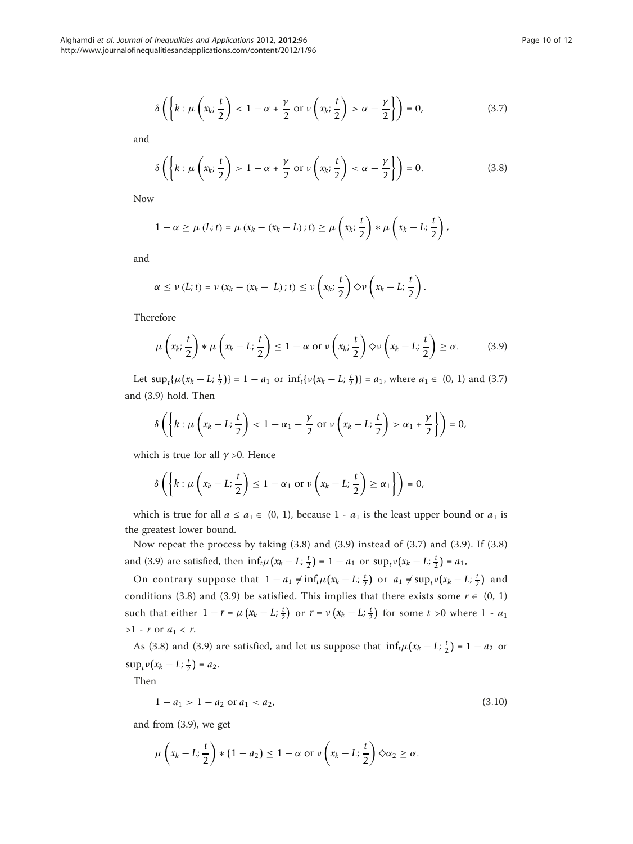$$
\delta\left(\left\{k:\mu\left(x_k;\frac{t}{2}\right)<1-\alpha+\frac{\gamma}{2}\text{ or }\nu\left(x_k;\frac{t}{2}\right)>\alpha-\frac{\gamma}{2}\right\}\right)=0,\tag{3.7}
$$

and

$$
\delta\left(\left\{k:\mu\left(x_k;\frac{t}{2}\right)>1-\alpha+\frac{\gamma}{2}\text{ or }\nu\left(x_k;\frac{t}{2}\right)<\alpha-\frac{\gamma}{2}\right\}\right)=0.\tag{3.8}
$$

Now

$$
1 - \alpha \geq \mu\left(L; t\right) = \mu\left(x_k - \left(x_k - L\right); t\right) \geq \mu\left(x_k; \frac{t}{2}\right) * \mu\left(x_k - L; \frac{t}{2}\right),
$$

and

$$
\alpha \leq \nu(L;t) = \nu(x_k - (x_k - L);t) \leq \nu\left(x_k;\frac{t}{2}\right) \diamond \nu\left(x_k - L;\frac{t}{2}\right).
$$

Therefore

$$
\mu\left(x_k; \frac{t}{2}\right) * \mu\left(x_k - L; \frac{t}{2}\right) \le 1 - \alpha \text{ or } \nu\left(x_k; \frac{t}{2}\right) \diamond \nu\left(x_k - L; \frac{t}{2}\right) \ge \alpha. \tag{3.9}
$$

Let  $\sup_t \{ \mu(x_k - L; \frac{t}{2}) \} = 1 - a_1$  or  $\inf_t \{ v(x_k - L; \frac{t}{2}) \} = a_1$ , where  $a_1 \in (0, 1)$  and (3.7) and (3.9) hold. Then

$$
\delta\left(\left\{k:\mu\left(x_k-L;\frac{t}{2}\right)<1-\alpha_1-\frac{\gamma}{2}\text{ or }\nu\left(x_k-L;\frac{t}{2}\right)>\alpha_1+\frac{\gamma}{2}\right\}\right)=0,
$$

which is true for all  $\gamma > 0$ . Hence

$$
\delta\left(\left\{k:\mu\left(x_k-L;\frac{t}{2}\right)\leq 1-\alpha_1\text{ or }\nu\left(x_k-L;\frac{t}{2}\right)\geq\alpha_1\right\}\right)=0,
$$

which is true for all  $a \le a_1 \in (0, 1)$ , because  $1 - a_1$  is the least upper bound or  $a_1$  is the greatest lower bound.

Now repeat the process by taking (3.8) and (3.9) instead of (3.7) and (3.9). If (3.8) and (3.9) are satisfied, then  $\inf_t \mu(x_k - L; \frac{t}{2}) = 1 - a_1$  or  $\sup_t \nu(x_k - L; \frac{t}{2}) = a_1$ ,

On contrary suppose that  $1 - a_1 \neq \inf_t \mu(x_k - L; \frac{t}{2})$  or  $a_1 \neq \sup_t \nu(x_k - L; \frac{t}{2})$  and conditions (3.8) and (3.9) be satisfied. This implies that there exists some  $r \in (0, 1)$ such that either  $1 - r = \mu \left( x_k - L; \frac{t}{2} \right)$  or  $r = \nu \left( x_k - L; \frac{t}{2} \right)$  for some  $t > 0$  where  $1 - a_1$  $>1$  - r or  $a_1 < r$ .

As (3.8) and (3.9) are satisfied, and let us suppose that  $\inf_t \mu(x_k - L; \frac{t}{2}) = 1 - a_2$  or  $\sup_t v(x_k - L; \frac{t}{2}) = a_2.$ 

Then

$$
1 - a_1 > 1 - a_2 \text{ or } a_1 < a_2,\tag{3.10}
$$

and from (3.9), we get

$$
\mu\left(x_k-L;\frac{t}{2}\right)*(1-a_2)\leq 1-\alpha \text{ or } \nu\left(x_k-L;\frac{t}{2}\right)\diamond \alpha_2\geq \alpha.
$$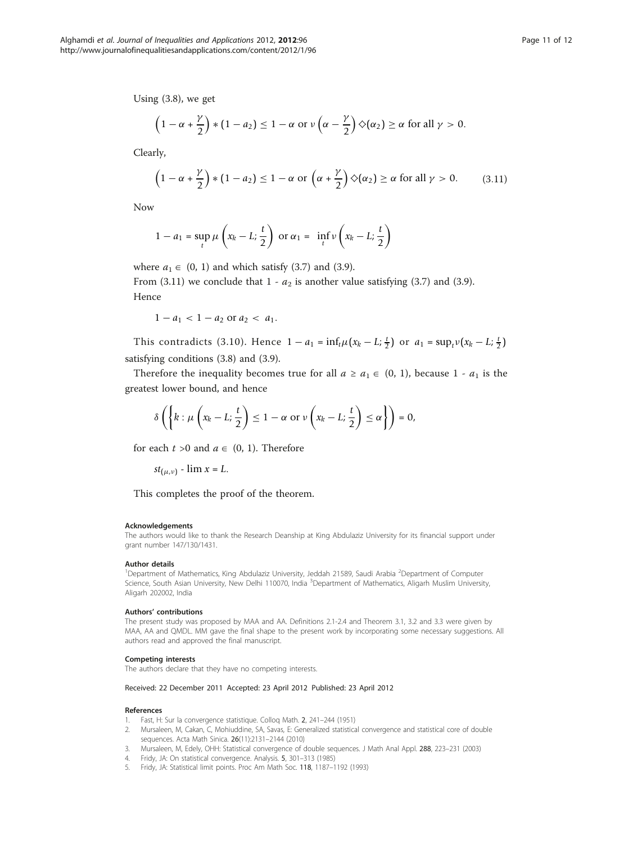<span id="page-10-0"></span>Using (3.8), we get

$$
\left(1-\alpha+\frac{\gamma}{2}\right) * \left(1-a_2\right) \leq 1-\alpha \text{ or } \nu\left(\alpha-\frac{\gamma}{2}\right) \diamondsuit(\alpha_2) \geq \alpha \text{ for all } \gamma > 0.
$$

Clearly,

$$
\left(1-\alpha+\frac{\gamma}{2}\right) * \left(1-a_2\right) \le 1-\alpha \text{ or } \left(\alpha+\frac{\gamma}{2}\right) \diamondsuit(\alpha_2) \ge \alpha \text{ for all } \gamma > 0. \tag{3.11}
$$

Now

$$
1 - a_1 = \sup_t \mu \left( x_k - L; \frac{t}{2} \right) \text{ or } \alpha_1 = \inf_t \nu \left( x_k - L; \frac{t}{2} \right)
$$

where  $a_1 \in (0, 1)$  and which satisfy (3.7) and (3.9).

From (3.11) we conclude that  $1 - a_2$  is another value satisfying (3.7) and (3.9). Hence

 $1 - a_1 < 1 - a_2$  or  $a_2 < a_1$ .

This contradicts (3.10). Hence  $1 - a_1 = \inf_t \mu(x_k - L; \frac{t}{2})$  or  $a_1 = \sup_t \nu(x_k - L; \frac{t}{2})$ satisfying conditions (3.8) and (3.9).

Therefore the inequality becomes true for all  $a \ge a_1 \in (0, 1)$ , because 1 -  $a_1$  is the greatest lower bound, and hence

$$
\delta\left(\left\{k:\mu\left(x_k-L;\frac{t}{2}\right)\leq 1-\alpha\text{ or }\nu\left(x_k-L;\frac{t}{2}\right)\leq\alpha\right\}\right)=0,
$$

for each  $t > 0$  and  $a \in (0, 1)$ . Therefore

$$
st_{(\mu,\nu)} - \lim x = L.
$$

This completes the proof of the theorem.

#### Acknowledgements

The authors would like to thank the Research Deanship at King Abdulaziz University for its financial support under grant number 147/130/1431.

#### Author details

<sup>1</sup>Department of Mathematics, King Abdulaziz University, Jeddah 21589, Saudi Arabia <sup>2</sup>Department of Computer Science, South Asian University, New Delhi 110070, India <sup>3</sup>Department of Mathematics, Aligarh Muslim University, Aligarh 202002, India

#### Authors' contributions

The present study was proposed by MAA and AA. Definitions 2.1-2.4 and Theorem 3.1, 3.2 and 3.3 were given by MAA, AA and QMDL. MM gave the final shape to the present work by incorporating some necessary suggestions. All authors read and approved the final manuscript.

#### Competing interests

The authors declare that they have no competing interests.

#### Received: 22 December 2011 Accepted: 23 April 2012 Published: 23 April 2012

#### References

- 1. Fast, H: Sur la convergence statistique. Colloq Math. 2, 241–244 (1951)
- 2. Mursaleen, M, Cakan, C, Mohiuddine, SA, Savas, E: Generalized statistical convergence and statistical core of double sequences. Acta Math Sinica. 26(11):2131–2144 (2010)
- 3. Mursaleen, M, Edely, OHH: Statistical convergence of double sequences. J Math Anal Appl. 288, 223–231 (2003)
- 4. Fridy, JA: On statistical convergence. Analysis. 5, 301–313 (1985)
- 5. Fridy, JA: Statistical limit points. Proc Am Math Soc. 118, 1187–1192 (1993)